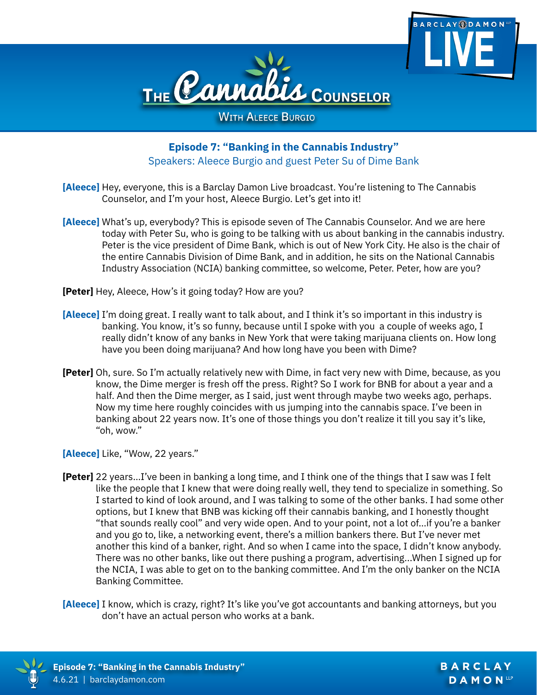



**WITH ALEECE BURGIO** 

# **Episode 7: "Banking in the Cannabis Industry"** Speakers: Aleece Burgio and guest Peter Su of Dime Bank

- **[Aleece]** Hey, everyone, this is a Barclay Damon Live broadcast. You're listening to The Cannabis Counselor, and I'm your host, Aleece Burgio. Let's get into it!
- **[Aleece]** What's up, everybody? This is episode seven of The Cannabis Counselor. And we are here today with Peter Su, who is going to be talking with us about banking in the cannabis industry. Peter is the vice president of Dime Bank, which is out of New York City. He also is the chair of the entire Cannabis Division of Dime Bank, and in addition, he sits on the National Cannabis Industry Association (NCIA) banking committee, so welcome, Peter. Peter, how are you?
- **[Peter]** Hey, Aleece, How's it going today? How are you?
- **[Aleece]** I'm doing great. I really want to talk about, and I think it's so important in this industry is banking. You know, it's so funny, because until I spoke with you a couple of weeks ago, I really didn't know of any banks in New York that were taking marijuana clients on. How long have you been doing marijuana? And how long have you been with Dime?
- **[Peter]** Oh, sure. So I'm actually relatively new with Dime, in fact very new with Dime, because, as you know, the Dime merger is fresh off the press. Right? So I work for BNB for about a year and a half. And then the Dime merger, as I said, just went through maybe two weeks ago, perhaps. Now my time here roughly coincides with us jumping into the cannabis space. I've been in banking about 22 years now. It's one of those things you don't realize it till you say it's like, "oh, wow."

**[Aleece]** Like, "Wow, 22 years."

**[Peter]** 22 years…I've been in banking a long time, and I think one of the things that I saw was I felt like the people that I knew that were doing really well, they tend to specialize in something. So I started to kind of look around, and I was talking to some of the other banks. I had some other options, but I knew that BNB was kicking off their cannabis banking, and I honestly thought "that sounds really cool" and very wide open. And to your point, not a lot of…if you're a banker and you go to, like, a networking event, there's a million bankers there. But I've never met another this kind of a banker, right. And so when I came into the space, I didn't know anybody. There was no other banks, like out there pushing a program, advertising...When I signed up for the NCIA, I was able to get on to the banking committee. And I'm the only banker on the NCIA Banking Committee.

**[Aleece]** I know, which is crazy, right? It's like you've got accountants and banking attorneys, but you don't have an actual person who works at a bank.

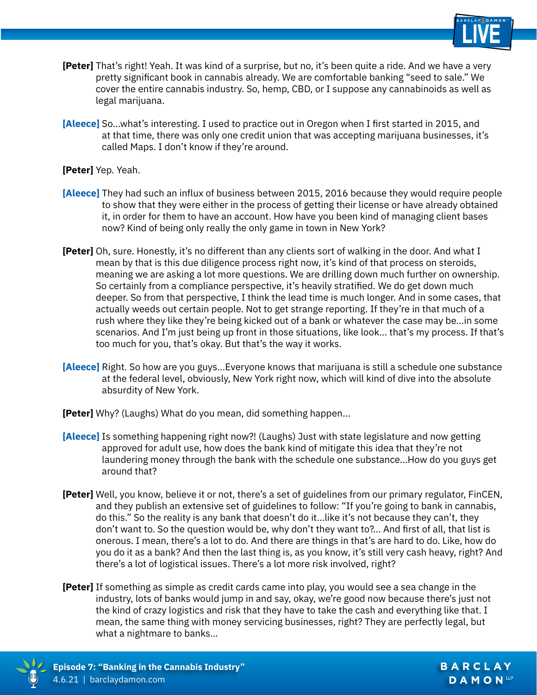

- **[Peter]** That's right! Yeah. It was kind of a surprise, but no, it's been quite a ride. And we have a very pretty significant book in cannabis already. We are comfortable banking "seed to sale." We cover the entire cannabis industry. So, hemp, CBD, or I suppose any cannabinoids as well as legal marijuana.
- **[Aleece]** So…what's interesting. I used to practice out in Oregon when I first started in 2015, and at that time, there was only one credit union that was accepting marijuana businesses, it's called Maps. I don't know if they're around.

### **[Peter]** Yep. Yeah.

- **[Aleece]** They had such an influx of business between 2015, 2016 because they would require people to show that they were either in the process of getting their license or have already obtained it, in order for them to have an account. How have you been kind of managing client bases now? Kind of being only really the only game in town in New York?
- **[Peter]** Oh, sure. Honestly, it's no different than any clients sort of walking in the door. And what I mean by that is this due diligence process right now, it's kind of that process on steroids, meaning we are asking a lot more questions. We are drilling down much further on ownership. So certainly from a compliance perspective, it's heavily stratified. We do get down much deeper. So from that perspective, I think the lead time is much longer. And in some cases, that actually weeds out certain people. Not to get strange reporting. If they're in that much of a rush where they like they're being kicked out of a bank or whatever the case may be…in some scenarios. And I'm just being up front in those situations, like look... that's my process. If that's too much for you, that's okay. But that's the way it works.
- **[Aleece]** Right. So how are you guys...Everyone knows that marijuana is still a schedule one substance at the federal level, obviously, New York right now, which will kind of dive into the absolute absurdity of New York.
- **[Peter]** Why? (Laughs) What do you mean, did something happen...
- **[Aleece]** Is something happening right now?! (Laughs) Just with state legislature and now getting approved for adult use, how does the bank kind of mitigate this idea that they're not laundering money through the bank with the schedule one substance...How do you guys get around that?
- **[Peter]** Well, you know, believe it or not, there's a set of guidelines from our primary regulator, FinCEN, and they publish an extensive set of guidelines to follow: "If you're going to bank in cannabis, do this." So the reality is any bank that doesn't do it…like it's not because they can't, they don't want to. So the question would be, why don't they want to?... And first of all, that list is onerous. I mean, there's a lot to do. And there are things in that's are hard to do. Like, how do you do it as a bank? And then the last thing is, as you know, it's still very cash heavy, right? And there's a lot of logistical issues. There's a lot more risk involved, right?
- **[Peter]** If something as simple as credit cards came into play, you would see a sea change in the industry, lots of banks would jump in and say, okay, we're good now because there's just not the kind of crazy logistics and risk that they have to take the cash and everything like that. I mean, the same thing with money servicing businesses, right? They are perfectly legal, but what a nightmare to banks…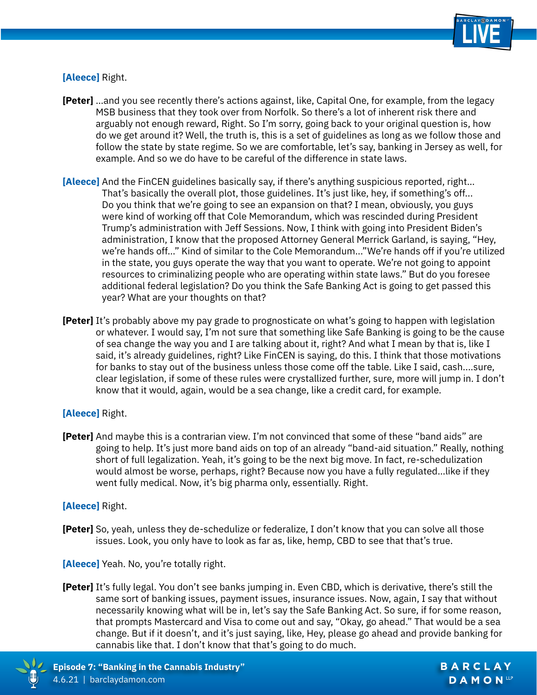

## **[Aleece]** Right.

- **[Peter]** …and you see recently there's actions against, like, Capital One, for example, from the legacy MSB business that they took over from Norfolk. So there's a lot of inherent risk there and arguably not enough reward, Right. So I'm sorry, going back to your original question is, how do we get around it? Well, the truth is, this is a set of guidelines as long as we follow those and follow the state by state regime. So we are comfortable, let's say, banking in Jersey as well, for example. And so we do have to be careful of the difference in state laws.
- **[Aleece]** And the FinCEN guidelines basically say, if there's anything suspicious reported, right… That's basically the overall plot, those guidelines. It's just like, hey, if something's off... Do you think that we're going to see an expansion on that? I mean, obviously, you guys were kind of working off that Cole Memorandum, which was rescinded during President Trump's administration with Jeff Sessions. Now, I think with going into President Biden's administration, I know that the proposed Attorney General Merrick Garland, is saying, "Hey, we're hands off…" Kind of similar to the Cole Memorandum..."We're hands off if you're utilized in the state, you guys operate the way that you want to operate. We're not going to appoint resources to criminalizing people who are operating within state laws." But do you foresee additional federal legislation? Do you think the Safe Banking Act is going to get passed this year? What are your thoughts on that?
- **[Peter]** It's probably above my pay grade to prognosticate on what's going to happen with legislation or whatever. I would say, I'm not sure that something like Safe Banking is going to be the cause of sea change the way you and I are talking about it, right? And what I mean by that is, like I said, it's already guidelines, right? Like FinCEN is saying, do this. I think that those motivations for banks to stay out of the business unless those come off the table. Like I said, cash....sure, clear legislation, if some of these rules were crystallized further, sure, more will jump in. I don't know that it would, again, would be a sea change, like a credit card, for example.

### **[Aleece]** Right.

**[Peter]** And maybe this is a contrarian view. I'm not convinced that some of these "band aids" are going to help. It's just more band aids on top of an already "band-aid situation." Really, nothing short of full legalization. Yeah, it's going to be the next big move. In fact, re-schedulization would almost be worse, perhaps, right? Because now you have a fully regulated…like if they went fully medical. Now, it's big pharma only, essentially. Right.

### **[Aleece]** Right.

**[Peter]** So, yeah, unless they de-schedulize or federalize, I don't know that you can solve all those issues. Look, you only have to look as far as, like, hemp, CBD to see that that's true.

**[Aleece]** Yeah. No, you're totally right.

**[Peter]** It's fully legal. You don't see banks jumping in. Even CBD, which is derivative, there's still the same sort of banking issues, payment issues, insurance issues. Now, again, I say that without necessarily knowing what will be in, let's say the Safe Banking Act. So sure, if for some reason, that prompts Mastercard and Visa to come out and say, "Okay, go ahead." That would be a sea change. But if it doesn't, and it's just saying, like, Hey, please go ahead and provide banking for cannabis like that. I don't know that that's going to do much.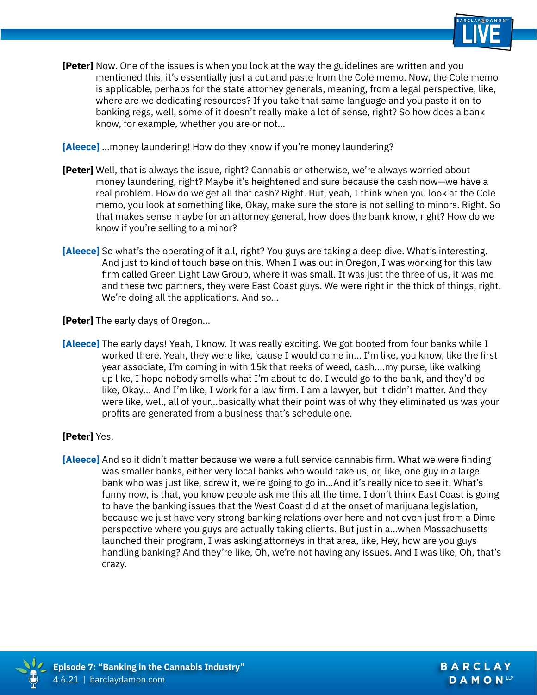

- **[Peter]** Now. One of the issues is when you look at the way the guidelines are written and you mentioned this, it's essentially just a cut and paste from the Cole memo. Now, the Cole memo is applicable, perhaps for the state attorney generals, meaning, from a legal perspective, like, where are we dedicating resources? If you take that same language and you paste it on to banking regs, well, some of it doesn't really make a lot of sense, right? So how does a bank know, for example, whether you are or not…
- **[Aleece]** …money laundering! How do they know if you're money laundering?
- **[Peter]** Well, that is always the issue, right? Cannabis or otherwise, we're always worried about money laundering, right? Maybe it's heightened and sure because the cash now—we have a real problem. How do we get all that cash? Right. But, yeah, I think when you look at the Cole memo, you look at something like, Okay, make sure the store is not selling to minors. Right. So that makes sense maybe for an attorney general, how does the bank know, right? How do we know if you're selling to a minor?
- **[Aleece]** So what's the operating of it all, right? You guys are taking a deep dive. What's interesting. And just to kind of touch base on this. When I was out in Oregon, I was working for this law firm called Green Light Law Group, where it was small. It was just the three of us, it was me and these two partners, they were East Coast guys. We were right in the thick of things, right. We're doing all the applications. And so…

**[Peter]** The early days of Oregon…

**[Aleece]** The early days! Yeah, I know. It was really exciting. We got booted from four banks while I worked there. Yeah, they were like, 'cause I would come in... I'm like, you know, like the first year associate, I'm coming in with 15k that reeks of weed, cash....my purse, like walking up like, I hope nobody smells what I'm about to do. I would go to the bank, and they'd be like, Okay... And I'm like, I work for a law firm. I am a lawyer, but it didn't matter. And they were like, well, all of your…basically what their point was of why they eliminated us was your profits are generated from a business that's schedule one.

### **[Peter]** Yes.

**[Aleece]** And so it didn't matter because we were a full service cannabis firm. What we were finding was smaller banks, either very local banks who would take us, or, like, one guy in a large bank who was just like, screw it, we're going to go in…And it's really nice to see it. What's funny now, is that, you know people ask me this all the time. I don't think East Coast is going to have the banking issues that the West Coast did at the onset of marijuana legislation, because we just have very strong banking relations over here and not even just from a Dime perspective where you guys are actually taking clients. But just in a…when Massachusetts launched their program, I was asking attorneys in that area, like, Hey, how are you guys handling banking? And they're like, Oh, we're not having any issues. And I was like, Oh, that's crazy.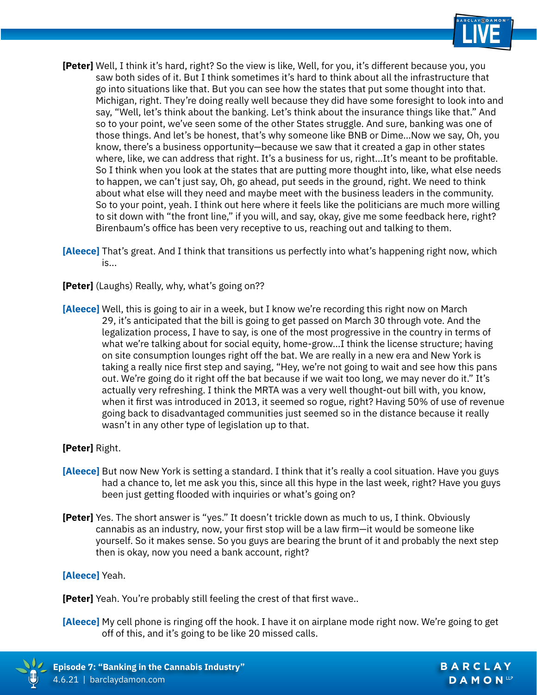

BARCLAY DAMON<sup>LLP</sup>

- **[Peter]** Well, I think it's hard, right? So the view is like, Well, for you, it's different because you, you saw both sides of it. But I think sometimes it's hard to think about all the infrastructure that go into situations like that. But you can see how the states that put some thought into that. Michigan, right. They're doing really well because they did have some foresight to look into and say, "Well, let's think about the banking. Let's think about the insurance things like that." And so to your point, we've seen some of the other States struggle. And sure, banking was one of those things. And let's be honest, that's why someone like BNB or Dime…Now we say, Oh, you know, there's a business opportunity—because we saw that it created a gap in other states where, like, we can address that right. It's a business for us, right...It's meant to be profitable. So I think when you look at the states that are putting more thought into, like, what else needs to happen, we can't just say, Oh, go ahead, put seeds in the ground, right. We need to think about what else will they need and maybe meet with the business leaders in the community. So to your point, yeah. I think out here where it feels like the politicians are much more willing to sit down with "the front line," if you will, and say, okay, give me some feedback here, right? Birenbaum's office has been very receptive to us, reaching out and talking to them.
- **[Aleece]** That's great. And I think that transitions us perfectly into what's happening right now, which is...
- **[Peter]** (Laughs) Really, why, what's going on??
- **[Aleece]** Well, this is going to air in a week, but I know we're recording this right now on March 29, it's anticipated that the bill is going to get passed on March 30 through vote. And the legalization process, I have to say, is one of the most progressive in the country in terms of what we're talking about for social equity, home-grow…I think the license structure; having on site consumption lounges right off the bat. We are really in a new era and New York is taking a really nice first step and saying, "Hey, we're not going to wait and see how this pans out. We're going do it right off the bat because if we wait too long, we may never do it." It's actually very refreshing. I think the MRTA was a very well thought-out bill with, you know, when it first was introduced in 2013, it seemed so rogue, right? Having 50% of use of revenue going back to disadvantaged communities just seemed so in the distance because it really wasn't in any other type of legislation up to that.

### **[Peter]** Right.

- **[Aleece]** But now New York is setting a standard. I think that it's really a cool situation. Have you guys had a chance to, let me ask you this, since all this hype in the last week, right? Have you guys been just getting flooded with inquiries or what's going on?
- **[Peter]** Yes. The short answer is "yes." It doesn't trickle down as much to us, I think. Obviously cannabis as an industry, now, your first stop will be a law firm—it would be someone like yourself. So it makes sense. So you guys are bearing the brunt of it and probably the next step then is okay, now you need a bank account, right?

### **[Aleece]** Yeah.

**[Peter]** Yeah. You're probably still feeling the crest of that first wave..

**[Aleece]** My cell phone is ringing off the hook. I have it on airplane mode right now. We're going to get off of this, and it's going to be like 20 missed calls.

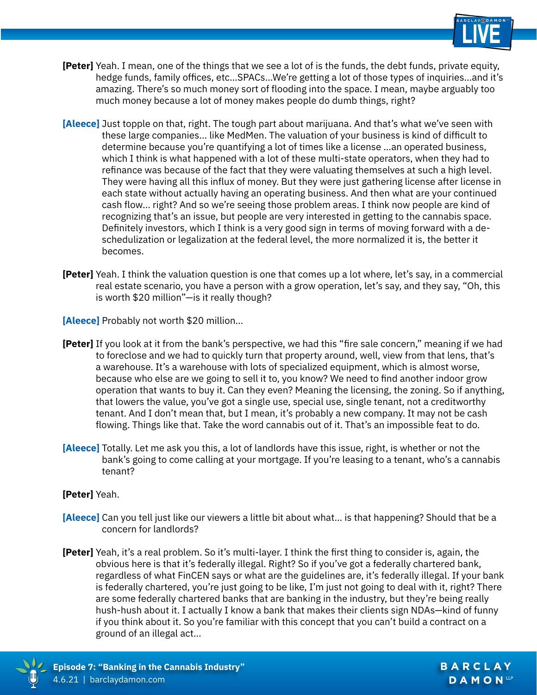

- **[Peter]** Yeah. I mean, one of the things that we see a lot of is the funds, the debt funds, private equity, hedge funds, family offices, etc…SPACs…We're getting a lot of those types of inquiries…and it's amazing. There's so much money sort of flooding into the space. I mean, maybe arguably too much money because a lot of money makes people do dumb things, right?
- **[Aleece]** Just topple on that, right. The tough part about marijuana. And that's what we've seen with these large companies... like MedMen. The valuation of your business is kind of difficult to determine because you're quantifying a lot of times like a license …an operated business, which I think is what happened with a lot of these multi-state operators, when they had to refinance was because of the fact that they were valuating themselves at such a high level. They were having all this influx of money. But they were just gathering license after license in each state without actually having an operating business. And then what are your continued cash flow... right? And so we're seeing those problem areas. I think now people are kind of recognizing that's an issue, but people are very interested in getting to the cannabis space. Definitely investors, which I think is a very good sign in terms of moving forward with a deschedulization or legalization at the federal level, the more normalized it is, the better it becomes.
- **[Peter]** Yeah. I think the valuation question is one that comes up a lot where, let's say, in a commercial real estate scenario, you have a person with a grow operation, let's say, and they say, "Oh, this is worth \$20 million"—is it really though?

**[Aleece]** Probably not worth \$20 million…

- **[Peter]** If you look at it from the bank's perspective, we had this "fire sale concern," meaning if we had to foreclose and we had to quickly turn that property around, well, view from that lens, that's a warehouse. It's a warehouse with lots of specialized equipment, which is almost worse, because who else are we going to sell it to, you know? We need to find another indoor grow operation that wants to buy it. Can they even? Meaning the licensing, the zoning. So if anything, that lowers the value, you've got a single use, special use, single tenant, not a creditworthy tenant. And I don't mean that, but I mean, it's probably a new company. It may not be cash flowing. Things like that. Take the word cannabis out of it. That's an impossible feat to do.
- **[Aleece]** Totally. Let me ask you this, a lot of landlords have this issue, right, is whether or not the bank's going to come calling at your mortgage. If you're leasing to a tenant, who's a cannabis tenant?

### **[Peter]** Yeah.

- **[Aleece]** Can you tell just like our viewers a little bit about what… is that happening? Should that be a concern for landlords?
- **[Peter]** Yeah, it's a real problem. So it's multi-layer. I think the first thing to consider is, again, the obvious here is that it's federally illegal. Right? So if you've got a federally chartered bank, regardless of what FinCEN says or what are the guidelines are, it's federally illegal. If your bank is federally chartered, you're just going to be like, I'm just not going to deal with it, right? There are some federally chartered banks that are banking in the industry, but they're being really hush-hush about it. I actually I know a bank that makes their clients sign NDAs—kind of funny if you think about it. So you're familiar with this concept that you can't build a contract on a ground of an illegal act…